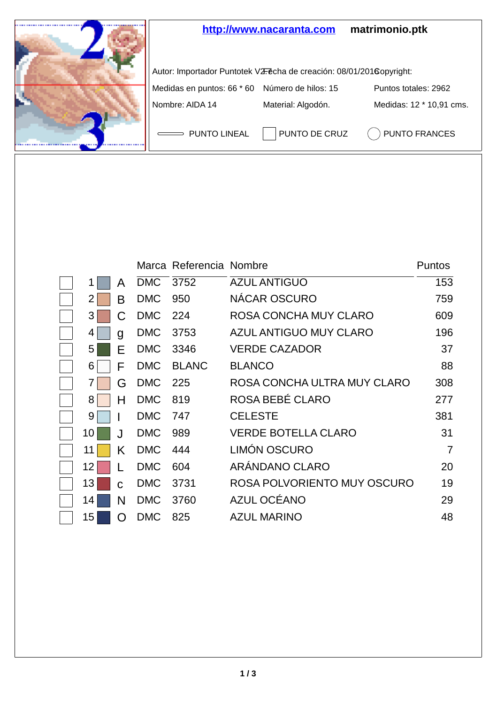

|    |    |            | Marca Referencia Nombre |                             | Puntos         |
|----|----|------------|-------------------------|-----------------------------|----------------|
|    | A  | DMC 3752   |                         | <b>AZUL ANTIGUO</b>         | 153            |
| 2  | в  | <b>DMC</b> | 950                     | NÁCAR OSCURO                | 759            |
| 3  | С  | <b>DMC</b> | - 224                   | ROSA CONCHA MUY CLARO       | 609            |
| 4  | g  | <b>DMC</b> | 3753                    | AZUL ANTIGUO MUY CLARO      | 196            |
| 5  | E  | <b>DMC</b> | 3346                    | <b>VERDE CAZADOR</b>        | 37             |
| 6  | F  | <b>DMC</b> | <b>BLANC</b>            | <b>BLANCO</b>               | 88             |
| 7  | G  | <b>DMC</b> | 225                     | ROSA CONCHA ULTRA MUY CLARO | 308            |
| 8  | н  | <b>DMC</b> | 819                     | ROSA BEBÉ CLARO             | 277            |
| 9  |    | <b>DMC</b> | 747                     | <b>CELESTE</b>              | 381            |
| 10 | ا. | <b>DMC</b> | 989                     | <b>VERDE BOTELLA CLARO</b>  | 31             |
| 11 | Κ  | <b>DMC</b> | 444                     | LIMÓN OSCURO                | $\overline{7}$ |
| 12 |    | <b>DMC</b> | 604                     | ARÁNDANO CLARO              | 20             |
| 13 | C  | <b>DMC</b> | 3731                    | ROSA POLVORIENTO MUY OSCURO | 19             |
| 14 | N  | <b>DMC</b> | 3760                    | AZUL OCÉANO                 | 29             |
| 15 | Ω  | <b>DMC</b> | 825                     | <b>AZUL MARINO</b>          | 48             |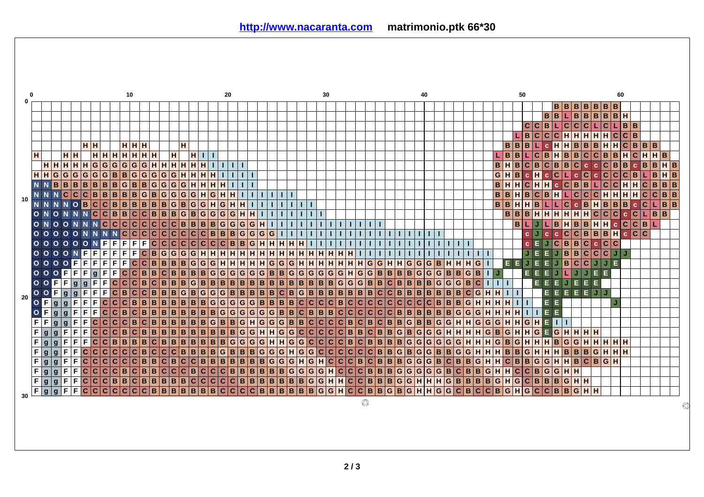|    |                |                                   |                |                |                         |                |                |                             |                |                | 10                      |                    |                         |                     |                         |                         |                |                         |                     |                |                         | 20                      |                         |   |                  |                |                         |                  |              |    |                                              | 30                      |                 |                                |   |                                                |                         |                         |                |    |                                     |                         | 40                      |                |                         |     |                         |                |                |                   |                    |       | 50             |                         |                |              |              |                                                   |                |                         |              |                                     |                  | 60                      |             |             |              |      |                  |   |
|----|----------------|-----------------------------------|----------------|----------------|-------------------------|----------------|----------------|-----------------------------|----------------|----------------|-------------------------|--------------------|-------------------------|---------------------|-------------------------|-------------------------|----------------|-------------------------|---------------------|----------------|-------------------------|-------------------------|-------------------------|---|------------------|----------------|-------------------------|------------------|--------------|----|----------------------------------------------|-------------------------|-----------------|--------------------------------|---|------------------------------------------------|-------------------------|-------------------------|----------------|----|-------------------------------------|-------------------------|-------------------------|----------------|-------------------------|-----|-------------------------|----------------|----------------|-------------------|--------------------|-------|----------------|-------------------------|----------------|--------------|--------------|---------------------------------------------------|----------------|-------------------------|--------------|-------------------------------------|------------------|-------------------------|-------------|-------------|--------------|------|------------------|---|
|    |                |                                   |                |                |                         |                |                |                             |                |                |                         |                    |                         |                     |                         |                         |                |                         |                     |                |                         |                         |                         |   |                  |                |                         |                  |              |    |                                              |                         |                 |                                |   |                                                |                         |                         |                |    |                                     |                         |                         |                |                         |     |                         |                |                |                   |                    |       |                |                         |                |              |              |                                                   |                |                         |              | B B B B B B B B                     |                  |                         |             |             |              |      |                  |   |
|    |                |                                   |                |                |                         |                |                |                             |                |                |                         |                    |                         |                     |                         |                         |                |                         |                     |                |                         |                         |                         |   |                  |                |                         |                  |              |    |                                              |                         |                 |                                |   |                                                |                         |                         |                |    |                                     |                         |                         |                |                         |     |                         |                |                |                   |                    |       |                |                         |                | B            | l B          |                                                   | $\overline{B}$ | $\overline{B}$          | B            |                                     | B   B            | н                       |             |             |              |      |                  |   |
|    |                |                                   |                |                |                         |                |                |                             |                |                |                         |                    |                         |                     |                         |                         |                |                         |                     |                |                         |                         |                         |   |                  |                |                         |                  |              |    |                                              |                         |                 |                                |   |                                                |                         |                         |                |    |                                     |                         |                         |                |                         |     |                         |                |                |                   |                    |       |                | c                       | $\mathbf c$    | B            |              | $\overline{c}$                                    | $\overline{c}$ | $\mathbf{C}$            | L            | lc l                                |                  | B                       | B           |             |              |      |                  |   |
|    |                |                                   |                |                |                         |                |                |                             |                |                |                         |                    |                         |                     |                         |                         |                |                         |                     |                |                         |                         |                         |   |                  |                |                         |                  |              |    |                                              |                         |                 |                                |   |                                                |                         |                         |                |    |                                     |                         |                         |                |                         |     |                         |                |                |                   |                    |       |                | B                       | $\mathbf c$    | $ c c $ H    |              |                                                   | H              | HH                      |              |                                     | інісі            |                         | $ c _B$     |             |              |      |                  |   |
|    |                |                                   |                |                |                         |                | ∣н∣н           |                             |                |                | HHH                     |                    |                         |                     |                         |                         | $\mathsf{H}$   |                         |                     |                |                         |                         |                         |   |                  |                |                         |                  |              |    |                                              |                         |                 |                                |   |                                                |                         |                         |                |    |                                     |                         |                         |                |                         |     |                         |                |                |                   |                    | B B   |                | B                       | L              | $\mathbf c$  | Ш            | H                                                 | B              | $B$ <sub>B</sub>        |              | Iн                                  | Iн               |                         | $C$ $B$ $B$ |             |              | IВ.  |                  |   |
|    | н              |                                   |                | H              | н                       |                |                | H H H                       |                | H              | $\mathbf H$             | Īн                 |                         | Iн                  |                         | н                       |                | H                       | Ш                   |                |                         |                         |                         |   |                  |                |                         |                  |              |    |                                              |                         |                 |                                |   |                                                |                         |                         |                |    |                                     |                         |                         |                |                         |     |                         |                |                |                   |                    | B     | в              |                         | $\mathbf c$    | B            | ш            | B                                                 | $\mathbf{B}$   |                         | c c          | lв.                                 | B                |                         | н<br>l C    |             | Iн           | H  B |                  |   |
|    |                | H H H H                           |                |                |                         | Iн             | G              |                             | G G            | G              | G                       |                    | G                       | $HH$ H              |                         |                         | H              | н                       | H                   |                | T.                      |                         |                         |   |                  |                |                         |                  |              |    |                                              |                         |                 |                                |   |                                                |                         |                         |                |    |                                     |                         |                         |                |                         |     |                         |                |                |                   | B                  |       | B              | C                       | B              | lc.          | B            | B                                                 | $\mathbf{C}$   | $\mathbf{c}$            | $\mathbf{c}$ | $ {\bf c} $                         | B                |                         | B           | $\mathbf c$ | B            |      | H.               | B |
|    | H              | H G G G                           |                |                |                         |                | G G            |                             | G B B          |                |                         |                    |                         | G G G G G           |                         |                         | H              | н                       | $H$ <sub>H</sub>    |                |                         |                         |                         |   |                  |                |                         |                  |              |    |                                              |                         |                 |                                |   |                                                |                         |                         |                |    |                                     |                         |                         |                |                         |     |                         |                |                |                   | G                  |       | $\mathbf{B}$   | $\mathbf{c}$            | $\overline{H}$ | $ c $ C $ $  |              | ш                                                 | $\mathbf{c}$   | C                       |              | c C C                               |                  |                         | C B         |             |              |      | $H$ <sub>B</sub> |   |
|    | N              |                                   |                |                |                         | B B B B        | Iв.            |                             | B B            | G              |                         |                    |                         | $B$ $B$ $G$ $G$     |                         | $\overline{G}$          | G              | H                       | H  H                |                | н                       |                         |                         |   |                  |                |                         |                  |              |    |                                              |                         |                 |                                |   |                                                |                         |                         |                |    |                                     |                         |                         |                |                         |     |                         |                |                | B                 |                    |       | H              | c                       | H              |              |              | $Hc$ $B$                                          |                | B L                     |              |                                     | c c              | H                       | Iн          |             | $\mathbf{C}$ | l B  | B B              |   |
|    |                |                                   | $\overline{N}$ | $\overline{c}$ | $\overline{\mathbf{c}}$ | $\mathbf{C}$   | B              | B                           | B              | $\, {\bf B}$   | B                       |                    | G                       | B G                 |                         | $\mathbf G$             | G              | $\mathbf G$             | H                   | $\overline{G}$ | $\overline{H}$          | н                       |                         |   |                  |                |                         |                  |              |    |                                              |                         |                 |                                |   |                                                |                         |                         |                |    |                                     |                         |                         |                |                         |     |                         |                |                |                   | B                  | B     | н              | B                       | $\overline{c}$ | B            | Iн           |                                                   | $\mathbf{C}$   | $\overline{\mathbf{C}}$ | $\mathbf{C}$ |                                     | H   H            | H                       | Iн          |             | $\mathbf{C}$ |      |                  | B |
| 10 | N              |                                   |                |                | $N$ O                   | B              | lc.            |                             | C B            | $\, {\bf B}$   | B                       |                    | B                       | $B$ <sub>B</sub>    |                         | G                       | B              | ۱G                      | ۱G.                 | Iн             | G                       | H                       |                         |   |                  |                |                         |                  |              |    |                                              |                         |                 |                                |   |                                                |                         |                         |                |    |                                     |                         |                         |                |                         |     |                         |                |                |                   | B                  | B     | H              | H                       | B              |              |              | c                                                 | c.             | B                       | $\mathbf{H}$ |                                     | $B$ <sub>B</sub> | $\overline{\mathbf{B}}$ |             | $\mathbf c$ | c            |      | B                | B |
|    |                | $O$ N                             | $\circ$        |                |                         | N <sub>N</sub> |                | $ {\bf C} {\bf C} {\bf B} $ |                | B              |                         |                    |                         | $C$ $C$ $B$ $B$ $B$ |                         |                         |                |                         | $G$ $B$ $G$ $G$     |                | $\mathbf G$             | G                       | $\mathbf{H}$            | н |                  |                |                         |                  |              |    |                                              |                         |                 |                                |   |                                                |                         |                         |                |    |                                     |                         |                         |                |                         |     |                         |                |                |                   |                    | B     | B              | B                       | $\overline{H}$ | H.           |              | $\overline{\mathbf{H}}$ н $\overline{\mathbf{H}}$ |                | $\mathbf{H}$            |              | c c c                               |                  |                         | c.<br> c    |             |              | B    | B                |   |
|    | $\circ$        | <b>NOONN</b>                      |                |                |                         |                |                | N C C C                     |                |                |                         |                    |                         | C C C C B B B B G   |                         |                         |                |                         |                     |                |                         | $ {\tt G} $             |                         |   | G G H            | L              | п                       |                  |              |    |                                              |                         |                 |                                |   |                                                |                         | т                       |                |    |                                     |                         |                         |                |                         |     |                         |                |                |                   |                    |       | B              | L                       | J              |              | lв.          | H  B                                              |                | <b>B</b> H              |              | IнI                                 |                  | c C                     |             |             | C B L        |      |                  |   |
|    |                | 00000N                            |                |                |                         |                |                |                             |                | N <sub>C</sub> |                         |                    |                         | C C C C             |                         |                         |                |                         | C C C C B B         |                |                         | B                       |                         |   | G G G            | G              | п                       |                  |              |    |                                              |                         |                 |                                |   |                                                |                         | т                       |                |    |                                     |                         |                         |                |                         |     |                         |                |                |                   |                    |       |                | c.                      | J              | $\mathbf{c}$ | $\mathbf{c}$ | $\mathbf{C}$                                      |                | C B                     | B            |                                     | B   H            |                         | c.          | c c         |              |      |                  |   |
|    | $\circ$        | 0000                              |                |                |                         | $\circ$        |                | NE                          | F              | F              |                         | $F$ $F$            |                         |                     |                         |                         |                |                         |                     |                |                         | B                       |                         |   | B G H            | H              | H                       |                  |              |    |                                              |                         |                 |                                |   |                                                |                         |                         |                |    |                                     |                         |                         |                |                         |     |                         |                |                |                   |                    |       |                | $\mathbf c$             | Е              | J.           |              | C B B                                             |                | $\mathbf{C}$            | $\mathbf{c}$ |                                     | c c              |                         |             |             |              |      |                  |   |
|    |                | $0000$                            |                |                |                         | F              | F              |                             | $F$ $F$ $F$    |                |                         |                    |                         | $F C B G G G H H H$ |                         |                         |                |                         |                     |                |                         | $\overline{H}$          |                         |   | HHHH             |                | $\mathbf{H}$            | $\mathbf{H}$     | н            |    | HH                                           | $\mathbf{H}$            | н               | н                              |   |                                                |                         |                         |                |    |                                     |                         |                         |                |                         |     |                         | T.             | т.             |                   |                    |       |                | J                       | E              | E.           |              | $J$ $B$ $B$                                       |                |                         |              | $ {\tt c} {\tt c} {\tt c} {\tt J} $ |                  | J                       |             |             |              |      |                  |   |
|    |                |                                   |                |                | F                       | F              | F              |                             | $F$ $F$ $F$    |                |                         |                    |                         | C C B B B B G G G H |                         |                         |                |                         |                     |                |                         | $\mathbf{H}$            |                         |   | HHHG             |                | G                       | G H              |              |    | H H                                          | н                       | н               | H                              |   | H G                                            |                         | $\overline{G}$          | $\mathbf{H}$   | Iн | G G                                 |                         |                         | G B            |                         | Iн  | IнI                     | н              | G              |                   |                    | EE    |                | J                       | Е              | Е            |              | B                                                 | $\overline{c}$ | $\mathbf{C}$            | J            |                                     | E.               |                         |             |             |              |      |                  |   |
|    | $\circ$        | $\circ$                           |                | $\circ$ F      | $\overline{F}$          | F              |                | $g$ F                       | F.             | c              |                         |                    | C B B                   |                     | C B                     |                         | B              | B B                     |                     | $\overline{G}$ | G                       |                         | G G G G B B             |   |                  |                |                         | $\overline{G}$   | $\mathbf{G}$ | ۱G | G                                            | $\overline{\mathsf{G}}$ | G               | H                              | G | $\mathbf G$                                    | B                       |                         | B              | B  | B                                   | $\mathbf G$             | $\overline{\mathsf{G}}$ | $\overline{G}$ |                         | B B |                         | G              | B              | $\mathbf{I}$      |                    |       |                | Е                       | Е              |              |              |                                                   |                |                         |              |                                     |                  |                         |             |             |              |      |                  |   |
|    | $\mathbf{o}$   | $\circ$                           | IF I           | F.             | g                       | g              | F              | F                           | $\mathbf{C}$   | $\mathbf{C}$   | $\overline{\mathbf{c}}$ |                    | B                       | c B                 |                         | $\overline{\mathbf{B}}$ | B              | G                       | $B$ <sub>B</sub>    |                | $\, {\bf B}$            | B                       |                         |   | B B B            | $\overline{B}$ | $\overline{\mathbf{B}}$ | $\overline{B}$   | B            | B  | B                                            | B                       | $\vert G \vert$ | ۱G                             |   | $\overline{\mathsf{G}}\,\overline{\mathsf{B}}$ |                         | $\overline{B}$          | $\overline{c}$ | B  | B                                   | $\mathbf B$             | B                       | G              |                         | G   | ۱G                      | $\mathbf{B}$   | C              |                   |                    |       |                |                         | E.             |              |              |                                                   |                | Е                       | Е            |                                     |                  |                         |             |             |              |      |                  |   |
|    |                | $\circ$ F                         |                | $\mathbf{g}$   | g                       | F              | F              | F                           | c              | B              |                         | $\overline{c c}$   |                         |                     | B                       | B                       | $\overline{G}$ | $\, {\bf B}$            | ۱G                  | ۱G             | $\overline{\mathbf{G}}$ | $\overline{\mathbf{B}}$ | B                       |   | $B$ <sub>B</sub> | $\overline{B}$ | $\overline{\mathsf{c}}$ | B                | G            |    | $\overline{\mathbf{B}}\overline{\mathbf{B}}$ | $\overline{\mathbf{B}}$ | B               | B                              |   | $B$ <sub>B</sub>                               |                         | $\overline{\mathsf{c}}$ | c              | B  | B.                                  | B                       | $\overline{\mathbf{B}}$ |                | B                       | B   | lв.                     | C.             | G              | Н                 | $\mathbf{H}$       |       | $\mathbf{I}$   |                         |                | E.           |              | E.                                                | E              | E                       | $\bullet$    |                                     |                  |                         |             |             |              |      |                  |   |
| 20 |                | $\frac{0}{0}$                     | g.             | g              | F                       | F              | F              |                             | c c c          |                | B                       |                    | B                       | B B B               |                         |                         | B              | B                       | B G G               |                |                         |                         | G G G B B B             |   |                  |                |                         |                  |              |    | B C C C                                      | $ \mathbf{c} $          |                 | B C C C                        |   |                                                | $ \mathbf{c} $          |                         |                |    | $ {\tt c} {\tt c} {\tt c} {\tt c} $ |                         | $\mathbf{C}$            | B              |                         |     | B B G H                 |                |                | н                 | $\mathbf{H}$       | н     |                | т                       |                | E.           | E.           |                                                   |                |                         |              |                                     |                  |                         |             |             |              |      |                  |   |
|    |                | $\overline{\circ}$ $\overline{F}$ | l g            | q              | F                       | F              | F              |                             | C C B          |                |                         | c B                |                         | B B B               |                         |                         | B              | $\overline{\mathbf{B}}$ | B B G               |                |                         |                         | G G G G G B             |   |                  |                |                         |                  |              |    | B C B B                                      | B                       |                 | c c c c                        |   |                                                |                         | $\mathbf{C}$            | C B            |    | $B$ <sub>B</sub>                    |                         | $\overline{\mathbf{B}}$ | B              |                         | B G |                         | G              | G              | $\mathbf{H}$<br>H |                    |       | н              |                         |                | E.           | E.           |                                                   |                |                         |              |                                     |                  |                         |             |             |              |      |                  |   |
|    | ᆍ              | F                                 | <b>g</b>       | $\mathbf{g}$   | F                       | F              | C              | c                           | C              | $\mathbf{C}$   | B                       |                    | $\overline{\mathsf{c}}$ | $B$ <sub>B</sub>    |                         | B                       | B              | B                       | B G                 |                | $\mathbf{B}$            | B                       |                         |   | G H G G          |                | G                       | $B$ <sub>B</sub> |              |    | c c                                          | $\mathbf{C}$            |                 | c B                            |   | C B                                            |                         | $\overline{c}$          | B              | B  | l G l                               | $\mathbf{B}$            | $\, {\bf B}$            | G              |                         | G H |                         | н              | G              | G                 | G                  | н     |                | G                       | н              | EП           |              | $\mathbf{I}$                                      |                |                         |              |                                     |                  |                         |             |             |              |      |                  |   |
|    | F              | g g                               |                | F              | F                       | F              |                | c c c B                     |                |                |                         | $ {\tt C} {\tt B}$ |                         | B B B               |                         |                         | в              |                         | B B B               |                | $\, {\bf B}$            | B                       |                         |   | G G H H G        |                |                         |                  |              |    | $Gc$ $Cc$                                    | $ \mathsf{c} $          |                 | C B B C B                      |   |                                                |                         |                         |                |    | B G B G                             |                         | $\mathsf G$             | G              |                         | HH  |                         | $H$ H          |                | $ {\tt G} $       | B                  | G     | н              | G<br>н                  |                |              |              | $E$ G H H                                         |                | HH                      |              |                                     |                  |                         |             |             |              |      |                  |   |
|    | F              | g                                 | l a            | F              | F                       | F              |                | C C B B                     |                |                | $\, {\bf B}$            |                    |                         | B C B B             |                         |                         | lв             |                         |                     |                |                         |                         |                         |   |                  |                |                         |                  |              |    |                                              |                         |                 | $B$ BBBBGGGGHHGGCCCCBCBB       |   |                                                |                         |                         |                |    |                                     |                         |                         |                |                         |     | $B B G G G G G G H H H$ |                |                |                   |                    | G B G |                | $\mathbf{H}$            | H              |              |              | $H$ $B$ $G$ $G$                                   |                | $\overline{H}$          |              | HHHH                                |                  |                         |             |             |              |      |                  |   |
|    | $\overline{F}$ | g g                               |                | F              | F                       | c              |                | c c c                       |                | $\overline{c}$ |                         | c B                |                         | c c c               |                         |                         | $\overline{B}$ |                         | $B$ $B$ $B$ $G$     |                |                         |                         | $B$ $B$ $B$ $G$ $G$     |   |                  |                |                         |                  |              |    | G H G G C                                    | $\overline{\text{c}}$   |                 | C C C C B                      |   |                                                |                         |                         | lв             |    | G B G                               |                         |                         |                | G B B G                 |     |                         | $\mathbf{G}$   | H<br>lн        |                   |                    | H B B |                | $\overline{\mathbf{G}}$ | $\mathbf H$    | Iн           |              | $H$ $B$ $B$                                       |                | B                       | G            |                                     | HHH              |                         |             |             |              |      |                  |   |
|    | F              | $\overline{g}$                    | g              | F              | F                       | $\overline{c}$ | $\overline{c}$ | $ {\bf c} $                 | $\overline{c}$ | $\overline{c}$ | $\overline{\mathbf{c}}$ |                    | B                       | B                   | $\overline{\mathbf{c}}$ | $\overline{B}$          | $\overline{c}$ | $\overline{c}$          | $B$ <sub>B</sub>    |                | $\overline{B}$          | B                       |                         |   | $B$ $B$ $B$      | $\overline{G}$ | $\overline{G}$          | G H              |              |    | G H                                          | $\overline{\mathsf{c}}$ |                 | C C B                          |   | $\overline{c}$                                 | B                       |                         | B              | B  | $ \mathsf{G} $                      | $\overline{\mathbf{G}}$ | $\overline{\mathsf{G}}$ | $\overline{B}$ |                         | C B |                         | $\overline{B}$ | $\overline{G}$ | $\overline{H}$    | H C                |       | $\overline{B}$ | B                       | $\overline{G}$ | G            | IнI          | H                                                 | $\overline{B}$ | $\overline{c}$          | B            |                                     | <b>GIH</b>       |                         |             |             |              |      |                  |   |
|    | F              | g.                                | ۱g             | F              | F                       |                |                | c c c c                     |                | B              | $\mathbf{C}$            |                    | B                       | B.                  | c                       | $\mathbf{C}$            | c.             | $\mathbf B$             | $ {\bf c} {\bf c} $ |                | $\mathbf{C}$            | $\overline{B}$          | B                       |   | B   B            | B.             | B                       | G G              |              |    | G G                                          |                         |                 | H C C C B                      |   |                                                | $\overline{\mathbf{B}}$ |                         | BG             |    | G G                                 |                         | G                       |                | $\overline{\mathbf{G}}$ |     | B C B                   |                | B              | G                 | Iн<br>$\mathbf{H}$ |       | $\mathbf{C}$   | C                       | B              | ۱G           | G H          |                                                   | $\mathbf{H}$   |                         |              |                                     |                  |                         |             |             |              |      |                  |   |
|    | F              | g g                               |                | F.             | F                       |                |                | C C C B B                   |                |                |                         | c B                |                         | B B B               |                         |                         | B              |                         | c c c c             |                |                         |                         | $C$ $B$ $B$ $B$ $B$ $B$ |   |                  |                |                         |                  |              |    |                                              |                         |                 | $B B G G H H C C B B B G G H $ |   |                                                |                         |                         |                |    |                                     |                         | H                       | Iн             |                         |     | G B B B                 |                |                | B                 |                    | G H G |                | $\overline{c}$          | B              |              |              |                                                   |                | $B$ $B$ $G$ $H$ $H$     |              |                                     |                  |                         |             |             |              |      |                  |   |
|    | F              | $\mathbf{g}$                      | g              | F              | F                       |                |                | <b>CCCCC</b>                |                |                |                         |                    |                         | $C C B B B B B$     |                         |                         |                |                         | $B$ $C$             |                |                         |                         | $C$ $C$ $B$ $B$ $B$     |   |                  |                |                         |                  |              |    | <b>BBBG</b>                                  |                         |                 | GHCCBBGBGH                     |   |                                                |                         |                         |                |    |                                     |                         | $\mathbf{H}$            |                |                         |     | $G$ $G$ $C$ $B$         |                | lc.            | $ c _B$           |                    | lg H  |                | G                       | C C B          |              |              | l B                                               | G              | інін                    |              |                                     |                  |                         |             |             |              |      |                  |   |
| 30 |                |                                   |                |                |                         |                |                |                             |                |                |                         |                    |                         |                     |                         |                         |                |                         |                     |                |                         |                         |                         |   |                  |                |                         |                  |              |    |                                              |                         |                 |                                |   |                                                |                         |                         |                |    |                                     |                         |                         |                |                         |     |                         |                |                |                   |                    |       |                |                         |                |              |              |                                                   |                |                         |              |                                     |                  |                         |             |             |              |      |                  |   |
|    |                |                                   |                |                |                         |                |                |                             |                |                |                         |                    |                         |                     |                         |                         |                |                         |                     |                |                         |                         |                         |   |                  |                |                         |                  |              |    |                                              |                         |                 |                                |   | $\circledcirc$                                 |                         |                         |                |    |                                     |                         |                         |                |                         |     |                         |                |                |                   |                    |       |                |                         |                |              |              |                                                   |                |                         |              |                                     |                  |                         |             |             |              |      |                  |   |
|    |                |                                   |                |                |                         |                |                |                             |                |                |                         |                    |                         |                     |                         |                         |                |                         |                     |                |                         |                         |                         |   |                  |                |                         |                  |              |    |                                              |                         |                 |                                |   |                                                |                         |                         |                |    |                                     |                         |                         |                |                         |     |                         |                |                |                   |                    |       |                |                         |                |              |              |                                                   |                |                         |              |                                     |                  |                         |             |             |              |      |                  |   |
|    |                |                                   |                |                |                         |                |                |                             |                |                |                         |                    |                         |                     |                         |                         |                |                         |                     |                |                         |                         |                         |   |                  |                |                         |                  |              |    |                                              |                         |                 |                                |   |                                                |                         |                         |                |    |                                     |                         |                         |                |                         |     |                         |                |                |                   |                    |       |                |                         |                |              |              |                                                   |                |                         |              |                                     |                  |                         |             |             |              |      |                  |   |
|    |                |                                   |                |                |                         |                |                |                             |                |                |                         |                    |                         |                     |                         |                         |                |                         |                     |                |                         |                         |                         |   |                  |                |                         |                  |              |    |                                              |                         |                 |                                |   |                                                |                         |                         |                |    |                                     |                         |                         |                |                         |     |                         |                |                |                   |                    |       |                |                         |                |              |              |                                                   |                |                         |              |                                     |                  |                         |             |             |              |      |                  |   |

**2 / 3**